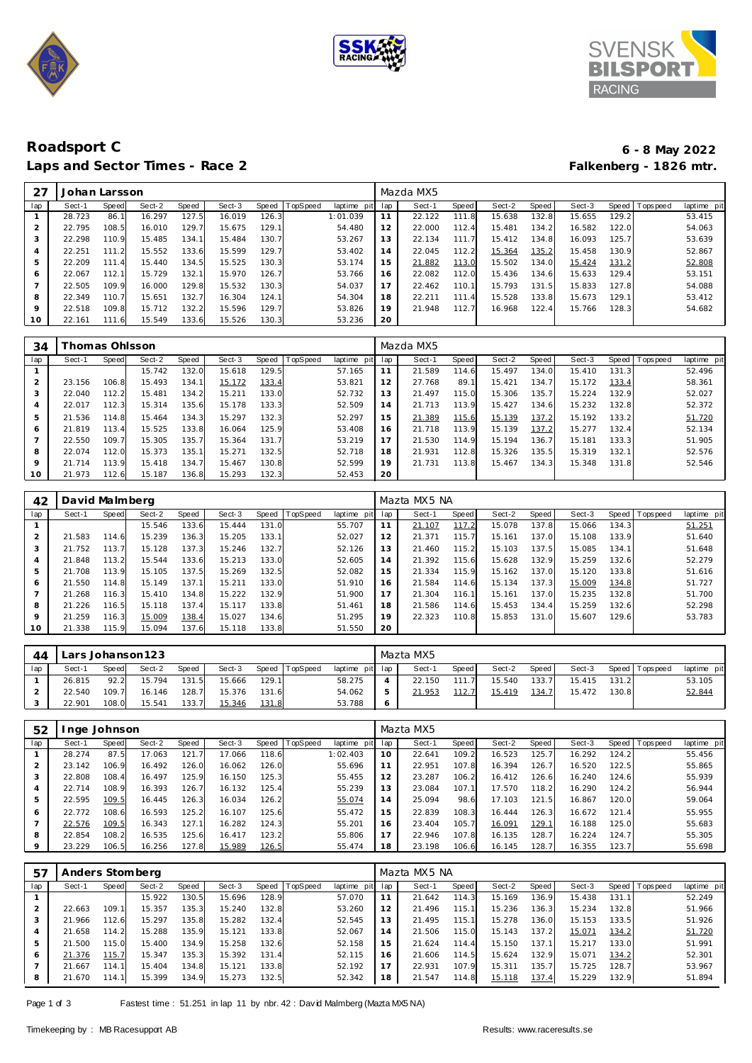





## **Roadsport C 6 - 8 May 2022** Laps and Sector Times - Race 2

| 27             | Johan Larsson |       |        |       |        |       |          |             |     | Mazda MX5 |       |        |       |        |       |                 |             |
|----------------|---------------|-------|--------|-------|--------|-------|----------|-------------|-----|-----------|-------|--------|-------|--------|-------|-----------------|-------------|
| lap            | Sect-1        | Speed | Sect-2 | Speed | Sect-3 | Speed | TopSpeed | laptime pit | lap | Sect-1    | Speed | Sect-2 | Speed | Sect-3 |       | Speed Tops peed | laptime pit |
|                | 28.723        | 86.   | 16.297 | 127.5 | 16.019 | 126.3 |          | 1:01.039    | 11  | 22.122    | 111.8 | 15.638 | 132.8 | 15.655 | 129.2 |                 | 53.415      |
| 2              | 22.795        | 108.5 | 16.010 | 129.7 | 15.675 | 129.1 |          | 54.480      | 12  | 22.000    | 112.4 | 15.481 | 134.2 | 16.582 | 122.0 |                 | 54.063      |
| 3              | 22.298        | 110.9 | 15.485 | 134.1 | 15.484 | 30.7  |          | 53.267      | 13  | 22.134    | 111.7 | 15.412 | 134.8 | 16.093 | 125.7 |                 | 53.639      |
| $\overline{4}$ | 22.251        | 111.2 | 15.552 | 133.6 | 15.599 | 129.7 |          | 53.402      | 14  | 22.045    | 112.2 | 15.364 | 135.2 | 15.458 | 130.9 |                 | 52.867      |
| 5              | 22.209        | 111.4 | 15.440 | 134.5 | 15.525 | 130.3 |          | 53.174      | 15  | 21.882    | 113.0 | 15.502 | 134.0 | 15.424 | 131.2 |                 | 52.808      |
| 6              | 22.067        | 112.1 | 15.729 | 132.1 | 15.970 | 126.7 |          | 53.766      | 16  | 22.082    | 112.0 | 15.436 | 134.6 | 15.633 | 129.4 |                 | 53.151      |
| $\rightarrow$  | 22.505        | 109.9 | 16.000 | 129.8 | 15.532 | 130.3 |          | 54.037      | 17  | 22.462    | 110.1 | 15.793 | 131.5 | 15.833 | 127.8 |                 | 54.088      |
| 8              | 22.349        | 110.7 | 15.651 | 132.7 | 16.304 | 124.1 |          | 54.304      | 18  | 22.211    | 111.4 | 15.528 | 133.8 | 15.673 | 129.1 |                 | 53.412      |
| 9              | 22.518        | 109.8 | 15.712 | 132.2 | 15.596 | 129.7 |          | 53.826      | 19  | 21.948    | 112.7 | 16.968 | 122.4 | 15.766 | 128.3 |                 | 54.682      |
| 10             | 22.161        | 111.6 | 15.549 | 133.6 | 15.526 | 130.3 |          | 53.236      | 20  |           |       |        |       |        |       |                 |             |
|                |               |       |        |       |        |       |          |             |     |           |       |        |       |        |       |                 |             |

| 34  |        | homas Ohlsson |        |       |        |       |                |             |     | Mazda MX5 |       |        |       |        |       |                |             |
|-----|--------|---------------|--------|-------|--------|-------|----------------|-------------|-----|-----------|-------|--------|-------|--------|-------|----------------|-------------|
| lap | Sect-1 | Speed         | Sect-2 | Speed | Sect-3 |       | Speed TopSpeed | laptime pit | lap | Sect-1    | Speed | Sect-2 | Speed | Sect-3 |       | Speed Topspeed | laptime pit |
|     |        |               | 15.742 | 132.0 | 15.618 | 129.5 |                | 57.165      | 11  | 21.589    | 114.6 | 15.497 | 134.0 | 15.410 | 131.3 |                | 52.496      |
|     | 23.156 | 106.8         | 15.493 | 134.1 | 15.172 | 133.4 |                | 53.821      | 12  | 27.768    | 89.1  | 15.421 | 134.7 | 15.172 | 133.4 |                | 58.361      |
| 3   | 22.040 | 112.2         | 15.481 | 134.2 | 15.211 | 133.0 |                | 52.732      | 13  | 21.497    | 115.0 | 15.306 | 135.7 | 15.224 | 132.9 |                | 52.027      |
| 4   | 22.017 | 112.3         | 15.314 | 135.6 | 15.178 | 133.3 |                | 52.509      | 14  | 21.713    | 113.9 | 15.427 | 134.6 | 15.232 | 132.8 |                | 52.372      |
| 5   | 21.536 | 114.8         | 15.464 | 134.3 | 15.297 | 132.3 |                | 52.297      | 15  | 21.389    | 115.6 | 15.139 | 137.2 | 15.192 | 133.2 |                | 51.720      |
| 6   | 21.819 | 113.4         | 15.525 | 133.8 | 16.064 | 125.9 |                | 53.408      | 16  | 21.718    | 113.9 | 15.139 | 137.2 | 15.277 | 132.4 |                | 52.134      |
|     | 22.550 | 109.7         | 15.305 | 135.7 | 15.364 | 131.7 |                | 53.219      | 17  | 21.530    | 114.9 | 15.194 | 136.7 | 15.181 | 133.3 |                | 51.905      |
| 8   | 22.074 | 112.0         | 15.373 | 135.1 | 15.271 | 132.5 |                | 52.718      | 18  | 21.931    | 112.8 | 15.326 | 135.5 | 15.319 | 132.1 |                | 52.576      |
| 9   | 21.714 | 113.9         | 15.418 | 134.7 | 15.467 | 130.8 |                | 52.599      | 19  | 21.731    | 113.8 | 15.467 | 134.3 | 15.348 | 131.8 |                | 52.546      |
| 10  | 21.973 | 112.6         | 15.187 | 136.8 | 15.293 | 132.3 |                | 52.453      | 20  |           |       |        |       |        |       |                |             |

| 42  | David Malmberg |       |        |       |        |       |                 |                |     | Mazta MX5 NA |       |        |       |        |       |                |             |
|-----|----------------|-------|--------|-------|--------|-------|-----------------|----------------|-----|--------------|-------|--------|-------|--------|-------|----------------|-------------|
| lap | Sect-1         | Speed | Sect-2 | Speed | Sect-3 | Speed | <b>TopSpeed</b> | laptime<br>pit | lap | Sect-1       | Speed | Sect-2 | Speed | Sect-3 |       | Speed Topspeed | laptime pit |
|     |                |       | 15.546 | 133.6 | 15.444 | 131.0 |                 | 55.707         | 11  | 21.107       | 117.2 | 15.078 | 137.8 | 15.066 | 134.3 |                | 51.251      |
| 2   | 21.583         | 114.6 | 15.239 | 136.3 | 15.205 | 133.1 |                 | 52.027         | 12  | 21.371       | 115.7 | 15.161 | 137.0 | 15.108 | 133.9 |                | 51.640      |
| 3   | 21.752         | 113.7 | 15.128 | 137.3 | 15.246 | 132.7 |                 | 52.126         | 13  | 21.460       | 115.2 | 15.103 | 137.5 | 15.085 | 134.1 |                | 51.648      |
| 4   | 21.848         | 113.2 | 15.544 | 133.6 | 15.213 | 133.0 |                 | 52.605         | 14  | 21.392       | 115.6 | 15.628 | 132.9 | 15.259 | 132.6 |                | 52.279      |
| 5   | 21.708         | 113.9 | 15.105 | 137.5 | 15.269 | 132.5 |                 | 52.082         | 15  | 21.334       | 115.9 | 15.162 | 137.0 | 15.120 | 133.8 |                | 51.616      |
| 6   | 21.550         | 114.8 | 15.149 | 137.1 | 15.211 | 133.0 |                 | 51.910         | 16  | 21.584       | 114.6 | 15.134 | 137.3 | 15.009 | 134.8 |                | 51.727      |
|     | 21.268         | 116.3 | 15.410 | 134.8 | 15.222 | 132.9 |                 | 51.900         | 17  | 21.304       | 116.1 | 15.161 | 137.0 | 15.235 | 132.8 |                | 51.700      |
| 8   | 21.226         | 116.5 | 15.118 | 137.4 | 15.117 | 133.8 |                 | 51.461         | 18  | 21.586       | 114.6 | 15.453 | 134.4 | 15.259 | 132.6 |                | 52.298      |
| 9   | 21.259         | 116.3 | 15.009 | 138.4 | 15.027 | 134.6 |                 | 51.295         | 19  | 22.323       | 110.8 | 15.853 | 131.0 | 15.607 | 129.6 |                | 53.783      |
| 10  | 21.338         | 115.9 | 15.094 | 137.6 | 15.118 | 133.8 |                 | 51.550         | 20  |              |       |        |       |        |       |                |             |

| 44  |        |       | Lars Johanson 123 |       |               |       |          |                 | Mazta MX5 |               |        |                    |        |       |                 |             |
|-----|--------|-------|-------------------|-------|---------------|-------|----------|-----------------|-----------|---------------|--------|--------------------|--------|-------|-----------------|-------------|
| lap | Sect-′ | Speed | Sect-2            | Speed | Sect-3        | Speed | TopSpeed | laptime pit lap | Sect-1    | Speed         | Sect-2 | Speed              | Sect-3 |       | Speed Tops peed | laptime pit |
|     | 26.815 | 92.2  | 15.794            | 131.5 | 15.666        | 129.1 |          | 58.275          | 22.150    | 111           | 15.540 | 133.7 <sub>1</sub> | 15.415 | 131.2 |                 | 53.105      |
|     | 22.540 | 109.7 | 16.146            | 128.7 | 15.376        | 131.6 |          | 54.062          | 21.953    | <u> 112.7</u> | 15.419 | 134.7              | 15.472 | 130.8 |                 | 52.844      |
|     | 22.901 | 108.0 | 15.541            | 133.7 | <u>15.346</u> | 131.8 |          | 53.788          |           |               |        |                    |        |       |                 |             |

| 52      | Inge Johnson |       |        |       |        |       |          |             |     | Mazta MX5 |       |        |       |        |       |                 |             |
|---------|--------------|-------|--------|-------|--------|-------|----------|-------------|-----|-----------|-------|--------|-------|--------|-------|-----------------|-------------|
| lap     | Sect-1       | Speed | Sect-2 | Speed | Sect-3 | Speed | TopSpeed | laptime pit | lap | Sect-1    | Speed | Sect-2 | Speed | Sect-3 |       | Speed Tops peed | laptime pit |
|         | 28.274       | 87.5  | 17.063 | 121.  | 17.066 | 118.6 |          | 1:02.403    | 10  | 22.641    | 109.2 | 16.523 | 125.7 | 16.292 | 124.2 |                 | 55.456      |
|         | 23.142       | 106.9 | 16.492 | 126.0 | 16.062 | 126.0 |          | 55.696      |     | 22.951    | 107.8 | 16.394 | 126.7 | 16.520 | 122.5 |                 | 55.865      |
| 3       | 22.808       | 108.4 | 16.497 | 125.9 | 16.150 | 125.3 |          | 55.455      | 12  | 23.287    | 106.2 | 16.412 | 126.6 | 16.240 | 124.6 |                 | 55.939      |
| 4       | 22.714       | 108.9 | 16.393 | 126.7 | 16.132 | 125.4 |          | 55.239      | 13  | 23.084    | 107.1 | 17.570 | 118.2 | 16.290 | 124.2 |                 | 56.944      |
| 5       | 22.595       | 109.5 | 16.445 | 126.3 | 16.034 | 126.2 |          | 55.074      | 14  | 25.094    | 98.6  | 17.103 | 121.5 | 16.867 | 120.0 |                 | 59.064      |
| O       | 22.772       | 108.6 | 16.593 | 125.2 | 16.107 | 125.6 |          | 55.472      | 15  | 22.839    | 108.3 | 16.444 | 126.3 | 16.672 | 121.4 |                 | 55.955      |
|         | 22.576       | 109.5 | 16.343 | 127.1 | 16.282 | 124.3 |          | 55.201      | 16  | 23.404    | 105.7 | 16.091 | 129.1 | 16.188 | 125.0 |                 | 55.683      |
| 8       | 22.854       | 108.2 | 16.535 | 125.6 | 16.417 | 123.2 |          | 55.806      |     | 22.946    | 107.8 | 16.135 | 128.7 | 16.224 | 124.7 |                 | 55.305      |
| $\circ$ | 23.229       | 106.5 | 16.256 | 127.8 | 15.989 | 126.5 |          | 55.474      | 18  | 23.198    | 106.6 | 16.145 | 128.7 | 16.355 | 123.7 |                 | 55.698      |

| 57           | Anders Stomberg |                    |        |       |        |       |          |             |     | Mazta MX5 NA |       |        |       |        |       |                 |             |
|--------------|-----------------|--------------------|--------|-------|--------|-------|----------|-------------|-----|--------------|-------|--------|-------|--------|-------|-----------------|-------------|
| lap          | Sect-1          | Speed              | Sect-2 | Speed | Sect-3 | Speed | TopSpeed | laptime pit | lap | Sect-1       | Speed | Sect-2 | Speed | Sect-3 |       | Speed Tops peed | laptime pit |
|              |                 |                    | 15.922 | 130.5 | 15.696 | 128.9 |          | 57.070      |     | 21.642       | 114.3 | 15.169 | 136.9 | 15.438 | 131.1 |                 | 52.249      |
|              | 22.663          | 109.1              | 15.357 | 135.3 | 15.240 | 132.8 |          | 53.260      |     | 21.496       | 115.1 | 15.236 | 136.3 | 15.234 | 132.8 |                 | 51.966      |
| 3            | 21.966          | '12.6'             | 15.297 | 135.8 | 15.282 | 132.4 |          | 52.545      | 13  | 21.495       | 115.1 | 15.278 | 136.0 | 15.153 | 133.5 |                 | 51.926      |
| 4            | 21.658          | 114.2              | 15.288 | 135.9 | 15.121 | 133.8 |          | 52.067      | 14  | 21.506       | 115.0 | 15.143 | 137.2 | 15.071 | 134.2 |                 | 51.720      |
| 5            | .500            | 115.0              | 15.400 | 134.9 | 15.258 | 132.6 |          | 52.158      | 15  | 21.624       | 114.4 | 15.150 | 137.1 | 15.217 | 133.0 |                 | 51.991      |
| <sup>6</sup> | 21.376          | 115.7 <sub>1</sub> | 15.347 | 135.3 | 15.392 | 131.4 |          | 52.115      | 16  | 21.606       | 114.5 | 15.624 | 132.9 | 15.071 | 134.2 |                 | 52.301      |
|              | 21.667          | 114.1              | 15.404 | 134.8 | 15.121 | 133.8 |          | 52.192      |     | 22.931       | 107.9 | 15.311 | 135.7 | 15.725 | 128.7 |                 | 53.967      |
| 8            | 21.670          | 114.1              | 15.399 | 134.9 | 15.273 | 132.5 |          | 52.342      | 18  | 21.547       | 114.8 | 15.118 | 137.4 | 15.229 | 132.9 |                 | 51.894      |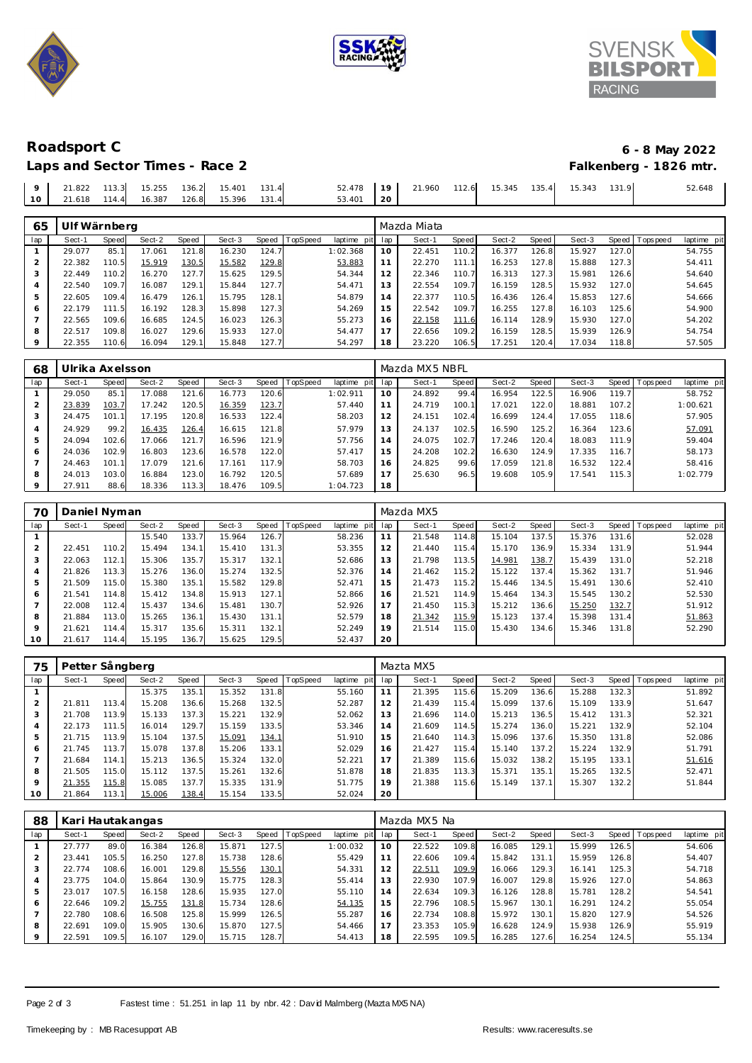





# **Roadsport C 6 - 8 May 2022**

|  |  | Laps and Sector Times - Race 2 |  |
|--|--|--------------------------------|--|
|  |  |                                |  |

| 52.478 19 21.960 112.6 15.345 135.4 15.343 131.9<br>9 21.822 113.3 15.255 136.2 15.401 131.4 | Laps and Sector Times - Race 2 |        |  |        |                 |  |  |  | Falkenberg - 1826 mtr. |
|----------------------------------------------------------------------------------------------|--------------------------------|--------|--|--------|-----------------|--|--|--|------------------------|
| 10 21.618 114.4<br>126.8 15.396 131.4                                                        |                                | 16.387 |  | 53.401 | $\overline{20}$ |  |  |  | 52.648                 |

| 65  | Ulf Wärnberg |             |        |       |        |       |          |                |     | Mazda Miata |       |        |       |        |       |                 |             |
|-----|--------------|-------------|--------|-------|--------|-------|----------|----------------|-----|-------------|-------|--------|-------|--------|-------|-----------------|-------------|
| lap | Sect-1       | Speed       | Sect-2 | Speed | Sect-3 | Speed | TopSpeed | laptime<br>pit | lap | Sect-1      | Speed | Sect-2 | Speed | Sect-3 |       | Speed Tops peed | laptime pit |
|     | 29.077       | 85.1        | 17.061 | 121.8 | 16.230 | 124.7 |          | 1:02.368       | 10  | 22.451      | 110.2 | 16.377 | 126.8 | 15.927 | 127.0 |                 | 54.755      |
|     | 22.382       | 110.5       | 15.919 | 130.5 | 15.582 | 129.8 |          | 53.883         | 11  | 22.270      | 111.1 | 16.253 | 127.8 | 15.888 | 127.3 |                 | 54.411      |
| చ   | 22.449       | 110.2       | 16.270 | 127.7 | 15.625 | 129.5 |          | 54.344         | 12  | 22.346      | 110.7 | 16.313 | 127.3 | 15.981 | 126.6 |                 | 54.640      |
|     | 22.540       | 109.7       | 16.087 | 129.  | 15.844 | 127.7 |          | 54.471         | 13  | 22.554      | 109.7 | 16.159 | 128.5 | 15.932 | 127.0 |                 | 54.645      |
| 5   | 22.605       | 109.4       | 16.479 | 126.1 | 15.795 | 128.1 |          | 54.879         | 14  | 22.377      | 110.5 | 16.436 | 126.4 | 15.853 | 127.6 |                 | 54.666      |
| 6   | 22.179       | 111<br>. 51 | 16.192 | 128.3 | 15.898 | 127.3 |          | 54.269         | 15  | 22.542      | 109.7 | 16.255 | 127.8 | 16.103 | 125.6 |                 | 54.900      |
|     | 22.565       | 109.6       | 16.685 | 124.5 | 16.023 | 126.3 |          | 55.273         | 16  | 22.158      | 111.6 | 16.114 | 128.9 | 15.930 | 127.0 |                 | 54.202      |
| 8   | 22.517       | 109.8       | 16.027 | 129.6 | 15.933 | 127.0 |          | 54.477         | 17  | 22.656      | 109.2 | 16.159 | 128.5 | 15.939 | 126.9 |                 | 54.754      |
|     | 22.355       | 110.6       | 16.094 | 129.  | 15.848 | 127.7 |          | 54.297         | 18  | 23.220      | 106.5 | 17.251 | 120.4 | 17.034 | 118.8 |                 | 57.505      |

| 68  | Ulrika Axelsson. |       |        |       |        |       |          |             |     | Mazda MX5 NBFL |       |        |       |        |       |                           |  |
|-----|------------------|-------|--------|-------|--------|-------|----------|-------------|-----|----------------|-------|--------|-------|--------|-------|---------------------------|--|
| lap | Sect-1           | Speed | Sect-2 | Speed | Sect-3 | Speed | TopSpeed | laptime pit | lap | Sect-1         | Speed | Sect-2 | Speed | Sect-3 | Speed | Tops pee d<br>laptime pit |  |
|     | 29.050           | 85.   | 17.088 | 121.6 | 16.773 | 120.6 |          | 1:02.911    | 10  | 24.892         | 99.4  | 16.954 | 122.5 | 16.906 | 119.7 | 58.752                    |  |
|     | 23.839           | 103.7 | 17.242 | 120.5 | 16.359 | 123.7 |          | 57.440      |     | 24.719         | 100.1 | 17.021 | 122.0 | 18.881 | 107.2 | 1:00.621                  |  |
|     | 24.475           | 101   | 17.195 | 120.8 | 16.533 | 122.4 |          | 58.203      | 12  | 24.151         | 102.4 | 16.699 | 124.4 | 17.055 | 118.6 | 57.905                    |  |
|     | 24.929           | 99.2  | 16.435 | 126.4 | 16.615 | 121.8 |          | 57.979      | 13  | 24.137         | 102.5 | 16.590 | 125.2 | 16.364 | 123.6 | 57.091                    |  |
|     | 24.094           | 102.6 | 17.066 | 121.7 | 16.596 | 121.9 |          | 57.756      | 14  | 24.075         | 102.7 | 17.246 | 120.4 | 18.083 | 111.9 | 59.404                    |  |
| 6   | 24.036           | 102.9 | 16.803 | 123.6 | 16.578 | 122.0 |          | 57.417      | 15  | 24.208         | 102.2 | 16.630 | 124.9 | 17.335 | 116.7 | 58.173                    |  |
|     | 24.463           | 101.1 | 17.079 | 121.6 | 17.161 | 117.9 |          | 58.703      | 16  | 24.825         | 99.6  | 17.059 | 121.8 | 16.532 | 122.4 | 58.416                    |  |
| 8   | 24.013           | 103.0 | 16.884 | 123.0 | 16.792 | 120.5 |          | 57.689      |     | 25.630         | 96.5  | 19.608 | 105.9 | 17.541 | 115.3 | 1:02.779                  |  |
|     | 27.911           | 88.6  | 18.336 | 113.3 | 18.476 | 109.5 |          | 1:04.723    | 18  |                |       |        |       |        |       |                           |  |

| 70             | Daniel Nyman |       |        |       |        |       |          |             |                 | Mazda MX5 |       |        |       |        |       |                 |             |
|----------------|--------------|-------|--------|-------|--------|-------|----------|-------------|-----------------|-----------|-------|--------|-------|--------|-------|-----------------|-------------|
| lap            | Sect-1       | Speed | Sect-2 | Speed | Sect-3 | Speed | TopSpeed | laptime pit | lap             | Sect-1    | Speed | Sect-2 | Speed | Sect-3 |       | Speed Tops peed | laptime pit |
|                |              |       | 15.540 | 133.7 | 15.964 | 126.7 |          | 58.236      |                 | 21.548    | 114.8 | 15.104 | 137.5 | 15.376 | 131.6 |                 | 52.028      |
| 2              | 22.451       | 110.2 | 15.494 | 134.1 | 15.410 | 131.3 |          | 53.355      | 12 <sup>1</sup> | 21.440    | 115.4 | 15.170 | 136.9 | 15.334 | 131.9 |                 | 51.944      |
| 3              | 22.063       | 112.1 | 15.306 | 135.7 | 15.317 | 132.1 |          | 52.686      | 13              | 21.798    | 113.5 | 14.981 | 138.7 | 15.439 | 131.0 |                 | 52.218      |
| $\overline{4}$ | 21.826       | 113.3 | 15.276 | 136.0 | 15.274 | 132.5 |          | 52.376      | 14              | 21.462    | 115.2 | 15.122 | 137.4 | 15.362 | 131.7 |                 | 51.946      |
| 5              | 21.509       | 115.0 | 15.380 | 135.1 | 15.582 | 129.8 |          | 52.471      | 15              | 21.473    | 115.2 | 15.446 | 134.5 | 15.491 | 130.6 |                 | 52.410      |
| 6              | 21.541       | 114.8 | 15.412 | 134.8 | 15.913 | 127.1 |          | 52.866      | 16              | 21.521    | 114.9 | 15.464 | 134.3 | 15.545 | 130.2 |                 | 52.530      |
| $\overline{7}$ | 22.008       | 112.4 | 15.437 | 134.6 | 15.481 | 130.7 |          | 52.926      | 17              | 21.450    | 115.3 | 15.212 | 136.6 | 15.250 | 132.7 |                 | 51.912      |
| 8              | 21.884       | 113.0 | 15.265 | 136.1 | 15.430 | 131.1 |          | 52.579      | 18              | 21.342    | 115.9 | 15.123 | 137.4 | 15.398 | 131.4 |                 | 51.863      |
| 9              | 21.621       | 114.4 | 15.317 | 135.6 | 15.311 | 132.1 |          | 52.249      | 19              | 21.514    | 115.0 | 15.430 | 134.6 | 15.346 | 131.8 |                 | 52.290      |
| 10             | 21.617       | 114.4 | 15.195 | 136.7 | 15.625 | 129.5 |          | 52.437      | 20              |           |       |        |       |        |       |                 |             |

| 75  | Petter Sångberg |       |        |       |        |       |          |         |         | Mazta MX5 |       |        |         |        |       |                 |             |
|-----|-----------------|-------|--------|-------|--------|-------|----------|---------|---------|-----------|-------|--------|---------|--------|-------|-----------------|-------------|
| lap | Sect-1          | Speed | Sect-2 | Speed | Sect-3 | Speed | TopSpeed | laptime | pit lap | Sect-1    | Speed | Sect-2 | Speed ' | Sect-3 |       | Speed Tops peed | laptime pit |
|     |                 |       | 15.375 | 135.1 | 15.352 | 131.8 |          | 55.160  | 11      | 21.395    | 115.6 | 15.209 | 136.6   | 15.288 | 132.3 |                 | 51.892      |
|     | 21.811          | 113.4 | 15.208 | 136.6 | 15.268 | 132.5 |          | 52.287  | 12      | 21.439    | 115.4 | 15.099 | 137.6   | 15.109 | 133.9 |                 | 51.647      |
| 3   | 21.708          | 113.9 | 15.133 | 137.3 | 15.221 | 132.9 |          | 52.062  | 13      | 21.696    | 114.0 | 15.213 | 136.5   | 15.412 | 131.3 |                 | 52.321      |
| 4   | 22.173          | 111.5 | 16.014 | 129.7 | 15.159 | 133.5 |          | 53.346  | 14      | 21.609    | 114.5 | 15.274 | 136.0   | 15.221 | 132.9 |                 | 52.104      |
| 5   | 21.715          | 113.9 | 15.104 | 137.5 | 15.091 | 134.1 |          | 51.910  | 15      | 21.640    | 114.3 | 15.096 | 137.6   | 15.350 | 131.8 |                 | 52.086      |
| 6   | 21.745          | 113.7 | 15.078 | 137.8 | 15.206 | 133.1 |          | 52.029  | 16      | 21.427    | 115.4 | 15.140 | 137.2   | 15.224 | 132.9 |                 | 51.791      |
|     | 21.684          | 114.1 | 15.213 | 136.5 | 15.324 | 132.0 |          | 52.221  | 17      | 21.389    | 115.6 | 15.032 | 138.2   | 15.195 | 133.1 |                 | 51.616      |
| 8   | 21.505          | 115.0 | 15.112 | 137.5 | 15.261 | 132.6 |          | 51.878  | 18      | 21.835    | 113.3 | 15.371 | 135.1   | 15.265 | 132.5 |                 | 52.471      |
| 9   | 21.355          | 115.8 | 15.085 | 137.7 | 15.335 | 131.9 |          | 51.775  | 19      | 21.388    | 115.6 | 15.149 | 137.1   | 15.307 | 132.2 |                 | 51.844      |
| 10  | 21.864          | 113.1 | 15.006 | 138.4 | 15.154 | 133.5 |          | 52.024  | 20      |           |       |        |         |        |       |                 |             |

| 88  | Kari Hautakangas |       |        |       |        |        |          |                | Mazda MX5 Na |        |       |        |       |        |       |                |             |  |
|-----|------------------|-------|--------|-------|--------|--------|----------|----------------|--------------|--------|-------|--------|-------|--------|-------|----------------|-------------|--|
| lap | Sect-1           | Speed | Sect-2 | Speed | Sect-3 | Speed  | TopSpeed | pit<br>laptime | lap          | Sect-1 | Speed | Sect-2 | Speed | Sect-3 |       | Speed Topspeed | laptime pit |  |
|     | 27.777           | 89.0  | 16.384 | 126.8 | 15.871 | 127.51 |          | 1:00.032       | 10           | 22.522 | 109.8 | 16.085 | 129.1 | 15.999 | 126.5 |                | 54.606      |  |
| 2   | 23.441           | 105.5 | 16.250 | 127.8 | 15.738 | 128.6  |          | 55.429         | 11           | 22.606 | 109.4 | 15.842 | 131   | 15.959 | 126.8 |                | 54.407      |  |
| 3   | 22.774           | 108.6 | 16.001 | 129.8 | 15.556 | 130.1  |          | 54.331         | 12           | 22.511 | 109.9 | 16.066 | 129.3 | 16.141 | 125.3 |                | 54.718      |  |
| 4   | 23.775           | 104.0 | 15.864 | 130.9 | 15.775 | 128.3  |          | 55.414         | 13           | 22.930 | 107.9 | 16.007 | 129.8 | 15.926 | 127.0 |                | 54.863      |  |
| 5   | 23.017           | 107.5 | 16.158 | 128.6 | 15.935 | 127.0  |          | 55.110         | 14           | 22.634 | 109.3 | 16.126 | 128.8 | 15.781 | 128.2 |                | 54.541      |  |
| O   | 22.646           | 109.2 | 15.755 | 131.8 | 15.734 | 128.6  |          | 54.135         | 15           | 22.796 | 108.5 | 15.967 | 130.1 | 16.291 | 124.2 |                | 55.054      |  |
|     | 22.780           | 108.6 | 16.508 | 125.8 | 15.999 | 126.5  |          | 55.287         | 16           | 22.734 | 108.8 | 15.972 | 130.1 | 15.820 | 127.9 |                | 54.526      |  |
| 8   | 22.691           | 109.0 | 15.905 | 130.6 | 15.870 | 127.5  |          | 54.466         | 17           | 23.353 | 105.9 | 16.628 | 124.9 | 15.938 | 126.9 |                | 55.919      |  |
| 9   | 22.591           | 109.5 | 16.107 | 129.0 | 15.715 | 128.7  |          | 54.413         | 18           | 22.595 | 109.5 | 16.285 | 127.6 | 16.254 | 124.5 |                | 55.134      |  |